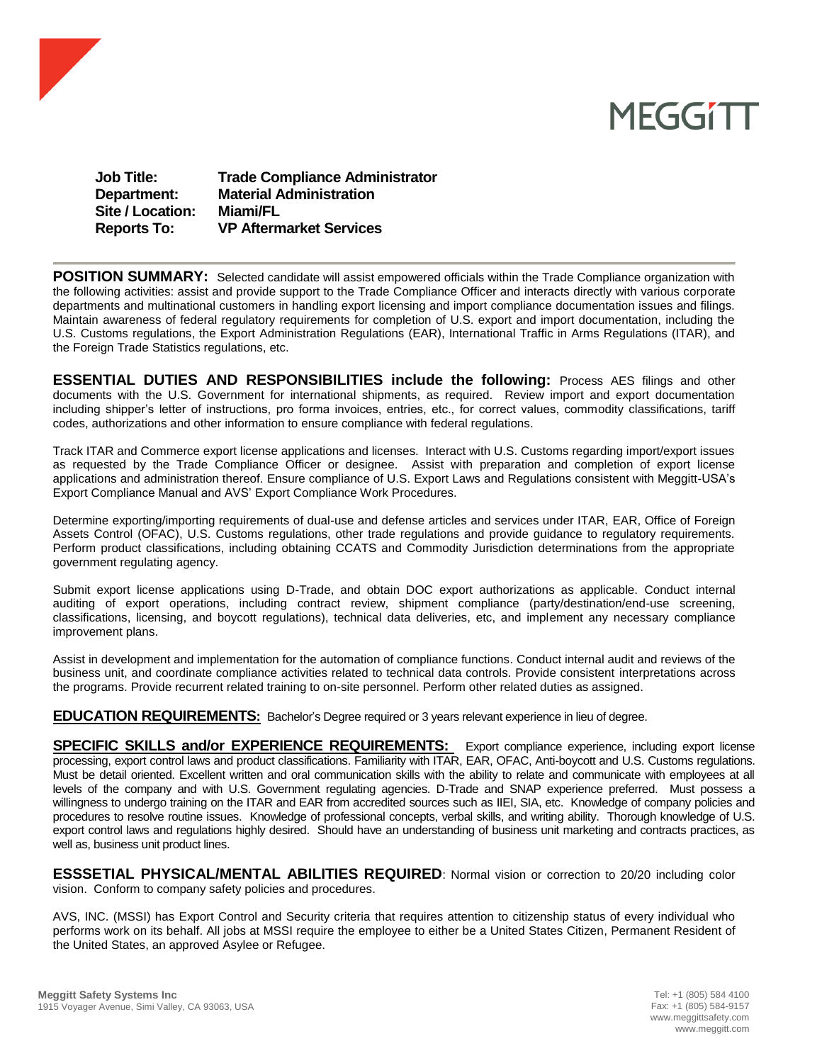

## **MEGGITT**

| <b>Job Title:</b>  | <b>Trade Compliance Administrator</b> |
|--------------------|---------------------------------------|
| Department:        | <b>Material Administration</b>        |
| Site / Location:   | Miami/FL                              |
| <b>Reports To:</b> | <b>VP Aftermarket Services</b>        |

**POSITION SUMMARY:** Selected candidate will assist empowered officials within the Trade Compliance organization with the following activities: assist and provide support to the Trade Compliance Officer and interacts directly with various corporate departments and multinational customers in handling export licensing and import compliance documentation issues and filings. Maintain awareness of federal regulatory requirements for completion of U.S. export and import documentation, including the U.S. Customs regulations, the Export Administration Regulations (EAR), International Traffic in Arms Regulations (ITAR), and the Foreign Trade Statistics regulations, etc.

**ESSENTIAL DUTIES AND RESPONSIBILITIES include the following:** Process AES filings and other documents with the U.S. Government for international shipments, as required. Review import and export documentation including shipper's letter of instructions, pro forma invoices, entries, etc., for correct values, commodity classifications, tariff codes, authorizations and other information to ensure compliance with federal regulations.

Track ITAR and Commerce export license applications and licenses. Interact with U.S. Customs regarding import/export issues as requested by the Trade Compliance Officer or designee. Assist with preparation and completion of export license applications and administration thereof. Ensure compliance of U.S. Export Laws and Regulations consistent with Meggitt-USA's Export Compliance Manual and AVS' Export Compliance Work Procedures.

Determine exporting/importing requirements of dual-use and defense articles and services under ITAR, EAR, Office of Foreign Assets Control (OFAC), U.S. Customs regulations, other trade regulations and provide guidance to regulatory requirements. Perform product classifications, including obtaining CCATS and Commodity Jurisdiction determinations from the appropriate government regulating agency.

Submit export license applications using D-Trade, and obtain DOC export authorizations as applicable. Conduct internal auditing of export operations, including contract review, shipment compliance (party/destination/end-use screening, classifications, licensing, and boycott regulations), technical data deliveries, etc, and implement any necessary compliance improvement plans.

Assist in development and implementation for the automation of compliance functions. Conduct internal audit and reviews of the business unit, and coordinate compliance activities related to technical data controls. Provide consistent interpretations across the programs. Provide recurrent related training to on-site personnel. Perform other related duties as assigned.

**EDUCATION REQUIREMENTS:** Bachelor's Degree required or 3 years relevant experience in lieu of degree.

**SPECIFIC SKILLS and/or EXPERIENCE REQUIREMENTS:** Export compliance experience, including export license processing, export control laws and product classifications. Familiarity with ITAR, EAR, OFAC, Anti-boycott and U.S. Customs regulations. Must be detail oriented. Excellent written and oral communication skills with the ability to relate and communicate with employees at all levels of the company and with U.S. Government regulating agencies. D-Trade and SNAP experience preferred. Must possess a willingness to undergo training on the ITAR and EAR from accredited sources such as IIEI, SIA, etc. Knowledge of company policies and procedures to resolve routine issues. Knowledge of professional concepts, verbal skills, and writing ability. Thorough knowledge of U.S. export control laws and regulations highly desired. Should have an understanding of business unit marketing and contracts practices, as well as, business unit product lines.

**ESSSETIAL PHYSICAL/MENTAL ABILITIES REQUIRED**: Normal vision or correction to 20/20 including color vision. Conform to company safety policies and procedures.

AVS, INC. (MSSI) has Export Control and Security criteria that requires attention to citizenship status of every individual who performs work on its behalf. All jobs at MSSI require the employee to either be a United States Citizen, Permanent Resident of the United States, an approved Asylee or Refugee.